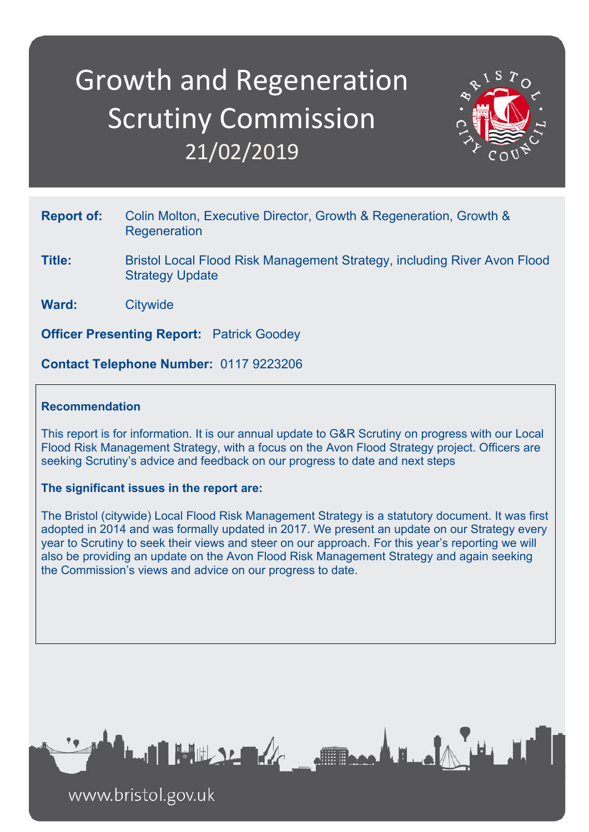# Growth and Regeneration Scrutiny Commission 21/02/2019



- **Report of:** Colin Molton, Executive Director, Growth & Regeneration, Growth & **Regeneration**
- **Title:** Bristol Local Flood Risk Management Strategy, including River Avon Flood Strategy Update
- **Ward:** Citywide

**Officer Presenting Report:** Patrick Goodey

**Contact Telephone Number:** 0117 9223206

## **Recommendation**

This report is for information. It is our annual update to G&R Scrutiny on progress with our Local Flood Risk Management Strategy, with a focus on the Avon Flood Strategy project. Officers are seeking Scrutiny's advice and feedback on our progress to date and next steps

#### **The significant issues in the report are:**

The Bristol (citywide) Local Flood Risk Management Strategy is a statutory document. It was first adopted in 2014 and was formally updated in 2017. We present an update on our Strategy every year to Scrutiny to seek their views and steer on our approach. For this year's reporting we will also be providing an update on the Avon Flood Risk Management Strategy and again seeking the Commission's views and advice on our progress to date.



www.bristol.gov.uk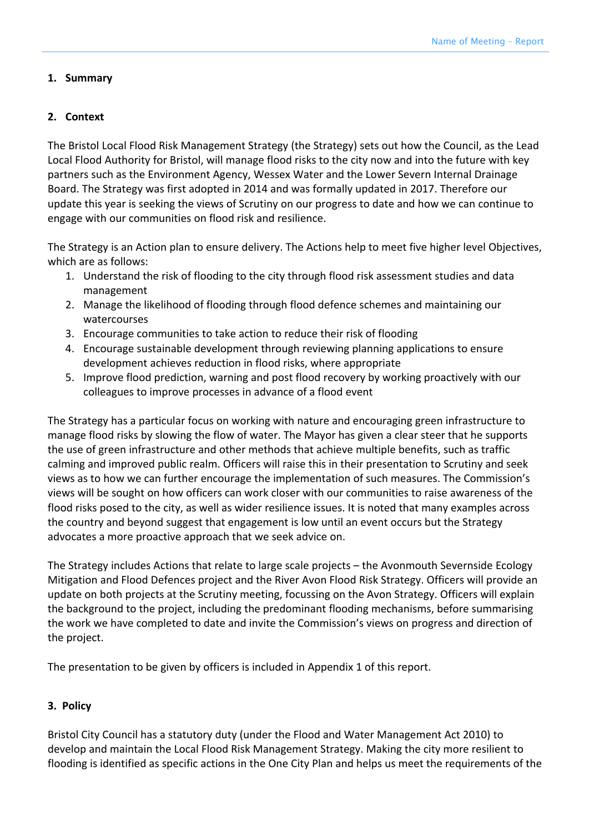#### **1. Summary**

### **2. Context**

The Bristol Local Flood Risk Management Strategy (the Strategy) sets out how the Council, as the Lead Local Flood Authority for Bristol, will manage flood risks to the city now and into the future with key partners such as the Environment Agency, Wessex Water and the Lower Severn Internal Drainage Board. The Strategy was first adopted in 2014 and was formally updated in 2017. Therefore our update this year is seeking the views of Scrutiny on our progress to date and how we can continue to engage with our communities on flood risk and resilience.

The Strategy is an Action plan to ensure delivery. The Actions help to meet five higher level Objectives, which are as follows:

- 1. Understand the risk of flooding to the city through flood risk assessment studies and data management
- 2. Manage the likelihood of flooding through flood defence schemes and maintaining our watercourses
- 3. Encourage communities to take action to reduce their risk of flooding
- 4. Encourage sustainable development through reviewing planning applications to ensure development achieves reduction in flood risks, where appropriate
- 5. Improve flood prediction, warning and post flood recovery by working proactively with our colleagues to improve processes in advance of a flood event

The Strategy has a particular focus on working with nature and encouraging green infrastructure to manage flood risks by slowing the flow of water. The Mayor has given a clear steer that he supports the use of green infrastructure and other methods that achieve multiple benefits, such as traffic calming and improved public realm. Officers will raise this in their presentation to Scrutiny and seek views as to how we can further encourage the implementation of such measures. The Commission's views will be sought on how officers can work closer with our communities to raise awareness of the flood risks posed to the city, as well as wider resilience issues. It is noted that many examples across the country and beyond suggest that engagement is low until an event occurs but the Strategy advocates a more proactive approach that we seek advice on.

The Strategy includes Actions that relate to large scale projects – the Avonmouth Severnside Ecology Mitigation and Flood Defences project and the River Avon Flood Risk Strategy. Officers will provide an update on both projects at the Scrutiny meeting, focussing on the Avon Strategy. Officers will explain the background to the project, including the predominant flooding mechanisms, before summarising the work we have completed to date and invite the Commission's views on progress and direction of the project.

The presentation to be given by officers is included in Appendix 1 of this report.

# **3. Policy**

Bristol City Council has a statutory duty (under the Flood and Water Management Act 2010) to develop and maintain the Local Flood Risk Management Strategy. Making the city more resilient to flooding is identified as specific actions in the One City Plan and helps us meet the requirements of the